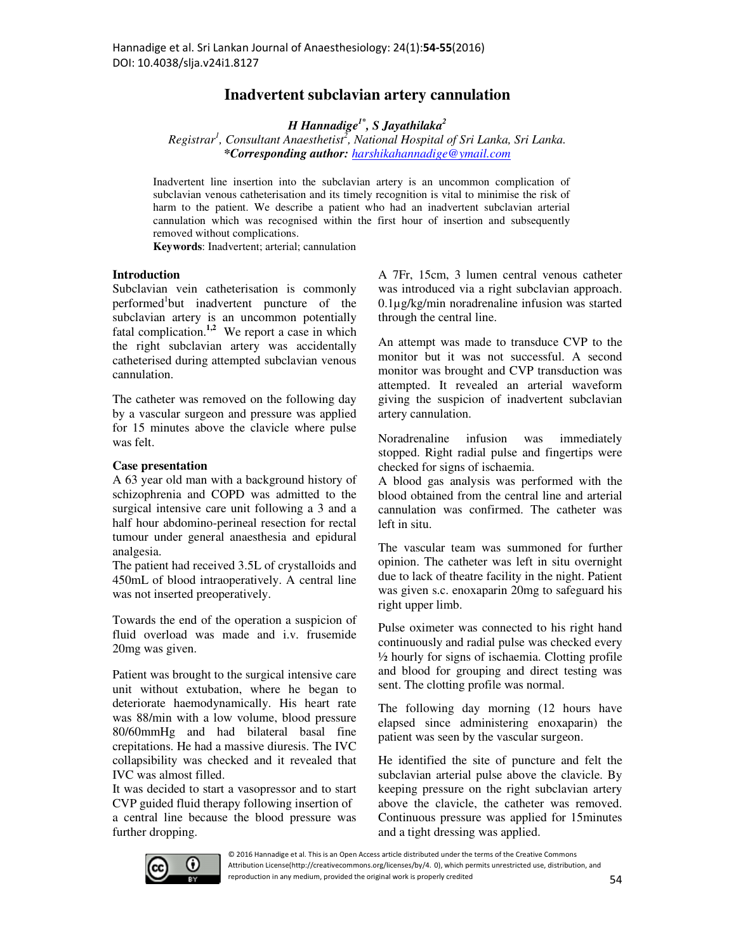# **Inadvertent subclavian artery cannulation**

*H Hannadige1\*, S Jayathilaka<sup>2</sup>*

*Registrar<sup>1</sup> , Consultant Anaesthetist<sup>2</sup> , National Hospital of Sri Lanka, Sri Lanka. \*Corresponding author: harshikahannadige@ymail.com*

Inadvertent line insertion into the subclavian artery is an uncommon complication of subclavian venous catheterisation and its timely recognition is vital to minimise the risk of harm to the patient. We describe a patient who had an inadvertent subclavian arterial cannulation which was recognised within the first hour of insertion and subsequently removed without complications.

**Keywords**: Inadvertent; arterial; cannulation

## **Introduction**

Subclavian vein catheterisation is commonly performed<sup>1</sup>but inadvertent puncture of the subclavian artery is an uncommon potentially fatal complication.**1,2** We report a case in which the right subclavian artery was accidentally catheterised during attempted subclavian venous cannulation.

The catheter was removed on the following day by a vascular surgeon and pressure was applied for 15 minutes above the clavicle where pulse was felt.

## **Case presentation**

A 63 year old man with a background history of schizophrenia and COPD was admitted to the surgical intensive care unit following a 3 and a half hour abdomino-perineal resection for rectal tumour under general anaesthesia and epidural analgesia.

The patient had received 3.5L of crystalloids and 450mL of blood intraoperatively. A central line was not inserted preoperatively.

Towards the end of the operation a suspicion of fluid overload was made and i.v. frusemide 20mg was given.

Patient was brought to the surgical intensive care unit without extubation, where he began to deteriorate haemodynamically. His heart rate was 88/min with a low volume, blood pressure 80/60mmHg and had bilateral basal fine crepitations. He had a massive diuresis. The IVC collapsibility was checked and it revealed that IVC was almost filled.

It was decided to start a vasopressor and to start CVP guided fluid therapy following insertion of a central line because the blood pressure was further dropping.

A 7Fr, 15cm, 3 lumen central venous catheter was introduced via a right subclavian approach. 0.1µg/kg/min noradrenaline infusion was started through the central line.

An attempt was made to transduce CVP to the monitor but it was not successful. A second monitor was brought and CVP transduction was attempted. It revealed an arterial waveform giving the suspicion of inadvertent subclavian artery cannulation.

Noradrenaline infusion was immediately stopped. Right radial pulse and fingertips were checked for signs of ischaemia.

A blood gas analysis was performed with the blood obtained from the central line and arterial cannulation was confirmed. The catheter was left in situ.

The vascular team was summoned for further opinion. The catheter was left in situ overnight due to lack of theatre facility in the night. Patient was given s.c. enoxaparin 20mg to safeguard his right upper limb.

Pulse oximeter was connected to his right hand continuously and radial pulse was checked every ½ hourly for signs of ischaemia. Clotting profile and blood for grouping and direct testing was sent. The clotting profile was normal.

The following day morning (12 hours have elapsed since administering enoxaparin) the patient was seen by the vascular surgeon.

He identified the site of puncture and felt the subclavian arterial pulse above the clavicle. By keeping pressure on the right subclavian artery above the clavicle, the catheter was removed. Continuous pressure was applied for 15minutes and a tight dressing was applied.



© 2016 Hannadige et al. This is an Open Access article distributed under the terms of the Creative Commons Attribution License(http://creativecommons.org/licenses/by/4. 0), which permits unrestricted use, distribution, and reproduction in any medium, provided the original work is properly credited